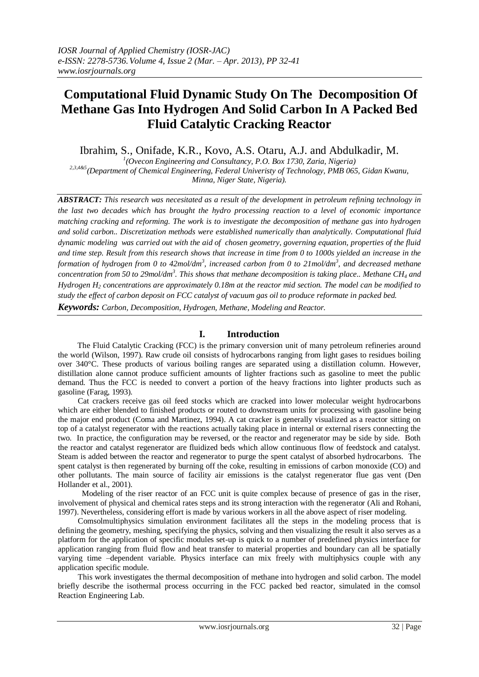# **Computational Fluid Dynamic Study On The Decomposition Of Methane Gas Into Hydrogen And Solid Carbon In A Packed Bed Fluid Catalytic Cracking Reactor**

Ibrahim, S., Onifade, K.R., Kovo, A.S. Otaru, A.J. and Abdulkadir, M.

*1 (Ovecon Engineering and Consultancy, P.O. Box 1730, Zaria, Nigeria) 2,3,4&5(Department of Chemical Engineering, Federal Univeristy of Technology, PMB 065, Gidan Kwanu, Minna, Niger State, Nigeria).*

*ABSTRACT: This research was necesitated as a result of the development in petroleum refining technology in the last two decades which has brought the hydro processing reaction to a level of economic importance matching cracking and reforming. The work is to investigate the decomposition of methane gas into hydrogen and solid carbon.. Discretization methods were established numerically than analytically. Computational fluid dynamic modeling was carried out with the aid of chosen geometry, governing equation, properties of the fluid and time step. Result from this research shows that increase in time from 0 to 1000s yielded an increase in the formation of hydrogen from 0 to 42mol/dm<sup>3</sup> , increased carbon from 0 to 21mol/dm<sup>3</sup> , and decreased methane concentration from 50 to 29mol/dm<sup>3</sup> . This shows that methane decomposition is taking place.. Methane CH<sup>4</sup> and Hydrogen H<sup>2</sup> concentrations are approximately 0.18m at the reactor mid section. The model can be modified to study the effect of carbon deposit on FCC catalyst of vacuum gas oil to produce reformate in packed bed. Keywords: Carbon, Decomposition, Hydrogen, Methane, Modeling and Reactor.*

# **I. Introduction**

 The Fluid Catalytic Cracking (FCC) is the primary conversion unit of many petroleum refineries around the world (Wilson, 1997). Raw crude oil consists of hydrocarbons ranging from light gases to residues boiling over 340°C. These products of various boiling ranges are separated using a distillation column. However, distillation alone cannot produce sufficient amounts of lighter fractions such as gasoline to meet the public demand. Thus the FCC is needed to convert a portion of the heavy fractions into lighter products such as gasoline (Farag, 1993).

 Cat crackers receive gas oil feed stocks which are cracked into lower molecular weight hydrocarbons which are either blended to finished products or routed to downstream units for processing with gasoline being the major end product (Coma and Martinez, 1994). A cat cracker is generally visualized as a reactor sitting on top of a catalyst regenerator with the reactions actually taking place in internal or external risers connecting the two. In practice, the configuration may be reversed, or the reactor and regenerator may be side by side. Both the reactor and catalyst regenerator are fluidized beds which allow continuous flow of feedstock and catalyst. Steam is added between the reactor and regenerator to purge the spent catalyst of absorbed hydrocarbons. The spent catalyst is then regenerated by burning off the coke, resulting in emissions of carbon monoxide (CO) and other pollutants. The main source of facility air emissions is the catalyst regenerator flue gas vent (Den Hollander et al., 2001).

 Modeling of the riser reactor of an FCC unit is quite complex because of presence of gas in the riser, involvement of physical and chemical rates steps and its strong interaction with the regenerator (Ali and Rohani, 1997). Nevertheless, considering effort is made by various workers in all the above aspect of riser modeling.

 Comsolmultiphysics simulation environment facilitates all the steps in the modeling process that is defining the geometry, meshing, specifying the physics, solving and then visualizing the result it also serves as a platform for the application of specific modules set-up is quick to a number of predefined physics interface for application ranging from fluid flow and heat transfer to material properties and boundary can all be spatially varying time –dependent variable. Physics interface can mix freely with multiphysics couple with any application specific module.

 This work investigates the thermal decomposition of methane into hydrogen and solid carbon. The model briefly describe the isothermal process occurring in the FCC packed bed reactor, simulated in the comsol Reaction Engineering Lab.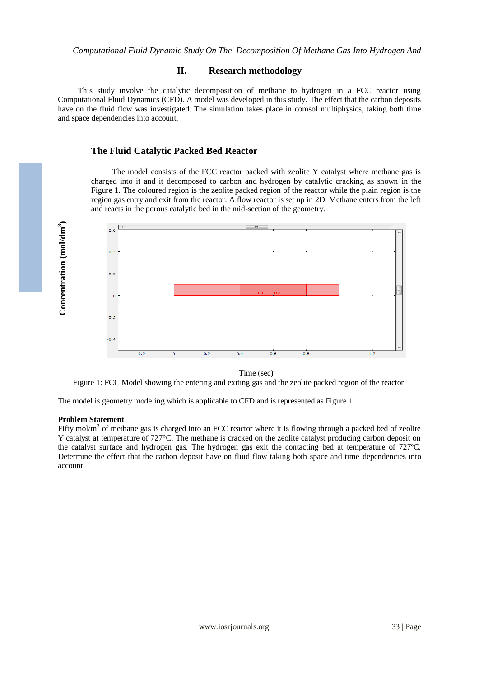# **II. Research methodology**

 This study involve the catalytic decomposition of methane to hydrogen in a FCC reactor using Computational Fluid Dynamics (CFD). A model was developed in this study. The effect that the carbon deposits have on the fluid flow was investigated. The simulation takes place in comsol multiphysics, taking both time and space dependencies into account.

# **The Fluid Catalytic Packed Bed Reactor**

 The model consists of the FCC reactor packed with zeolite Y catalyst where methane gas is charged into it and it decomposed to carbon and hydrogen by catalytic cracking as shown in the Figure 1. The coloured region is the zeolite packed region of the reactor while the plain region is the region gas entry and exit from the reactor. A flow reactor is set up in 2D. Methane enters from the left and reacts in the porous catalytic bed in the mid-section of the geometry.



Time (sec)

Figure 1: FCC Model showing the entering and exiting gas and the zeolite packed region of the reactor.

The model is geometry modeling which is applicable to CFD and is represented as Figure 1

## **Problem Statement**

Fifty mol/ $m<sup>3</sup>$  of methane gas is charged into an FCC reactor where it is flowing through a packed bed of zeolite Y catalyst at temperature of 727°C. The methane is cracked on the zeolite catalyst producing carbon deposit on the catalyst surface and hydrogen gas. The hydrogen gas exit the contacting bed at temperature of 727ºC. Determine the effect that the carbon deposit have on fluid flow taking both space and time dependencies into account.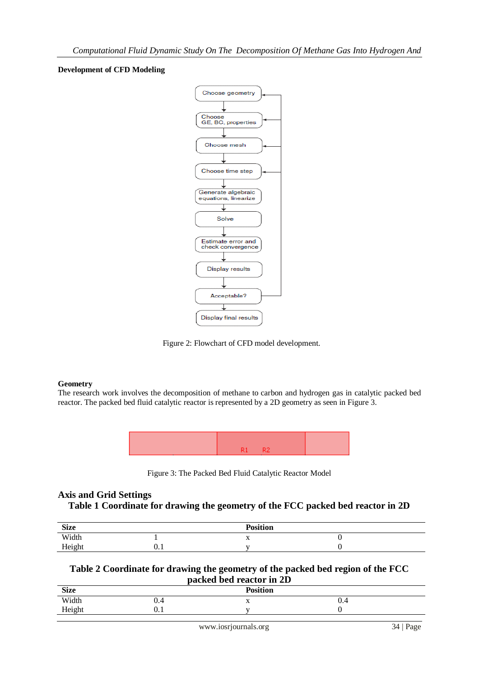## **Development of CFD Modeling**



Figure 2: Flowchart of CFD model development.

# **Geometry**

The research work involves the decomposition of methane to carbon and hydrogen gas in catalytic packed bed reactor. The packed bed fluid catalytic reactor is represented by a 2D geometry as seen in Figure 3.



Figure 3: The Packed Bed Fluid Catalytic Reactor Model

# **Axis and Grid Settings**

# **Table 1 Coordinate for drawing the geometry of the FCC packed bed reactor in 2D**

| <b>Size</b>               |           | <b>Position</b> |  |
|---------------------------|-----------|-----------------|--|
| Width                     |           | $\lambda$       |  |
| $_{\rm{Hoch}}$<br>1101611 | ∩<br>v. 1 | -               |  |

## **Table 2 Coordinate for drawing the geometry of the packed bed region of the FCC packed bed reactor in 2D**

| $\mu$ acku bcu reactor in $\mu$ |                 |  |     |  |  |
|---------------------------------|-----------------|--|-----|--|--|
| <b>Size</b>                     | <b>Position</b> |  |     |  |  |
| Width                           | v.4             |  | ∪.∸ |  |  |
| Height                          | v. 1            |  |     |  |  |
|                                 |                 |  |     |  |  |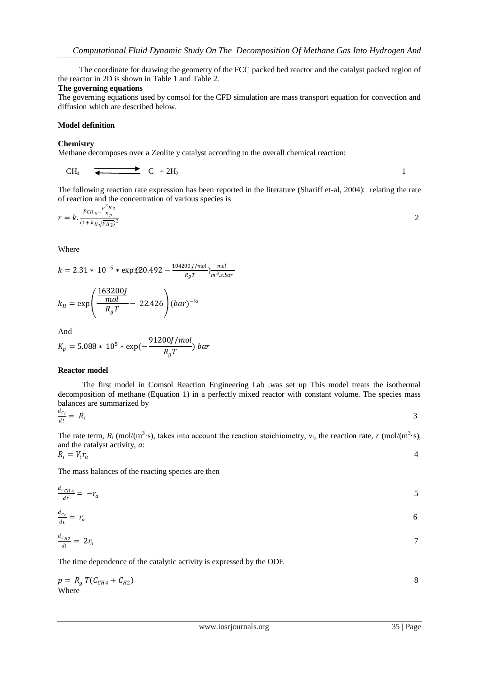The coordinate for drawing the geometry of the FCC packed bed reactor and the catalyst packed region of the reactor in 2D is shown in Table 1 and Table 2.

#### **The governing equations**

The governing equations used by comsol for the CFD simulation are mass transport equation for convection and diffusion which are described below.

#### **Model definition**

#### **Chemistry**

Methane decomposes over a Zeolite y catalyst according to the overall chemical reaction:

$$
CH_4 \quad \overline{\bullet} \qquad \qquad \bullet \qquad \bullet \qquad \bullet
$$

The following reaction rate expression has been reported in the literature (Shariff et-al, 2004): relating the rate

of reaction and the concentration of various species is  
\n
$$
r = k \cdot \frac{p_{CH_4} - \frac{p^2 H_2}{K_p}}{(1 + k_H \sqrt{p_{H_2}})^2}
$$

Where

 $k = 2.31 * 10^{-5} * \exp[(20.492 - \frac{104200 \text{ J/mol}}{R_{\odot}T})]$  $\frac{00 J/mol}{R_g T}$ ) $\frac{mol}{m^3 s.l}$  $m<sup>3</sup>$ .s.bar

$$
k_H = \exp\left(\frac{\frac{163200J}{mol}}{R_gT} - 22.426\right)(bar)^{-1/2}
$$

And

$$
K_p = 5.088 * 10^5 * \exp(-\frac{91200J/mol}{R_gT}) bar
$$

#### **Reactor model**

 The first model in Comsol Reaction Engineering Lab .was set up This model treats the isothermal decomposition of methane (Equation 1) in a perfectly mixed reactor with constant volume. The species mass balances are summarized by

$$
\frac{d c_i}{dt} = R_i
$$

3

The rate term,  $R_i$  (mol/(m<sup>3</sup>·s), takes into account the reaction stoichiometry,  $v_i$ , the reaction rate, *r* (mol/(m<sup>3</sup>·s), and the catalyst activity, *a*:

$$
R_i = V_i r_a \tag{4}
$$

The mass balances of the reacting species are then

$$
\frac{d_{cCH4}}{dt} = -r_a \tag{5}
$$

$$
\frac{d_{c_c}}{dt} = r_a \tag{6}
$$

$$
\frac{d_{c_{H2}}}{dt} = 2r_a
$$

The time dependence of the catalytic activity is expressed by the ODE

$$
p = R_g T(C_{CH4} + C_{H2})
$$
  
Where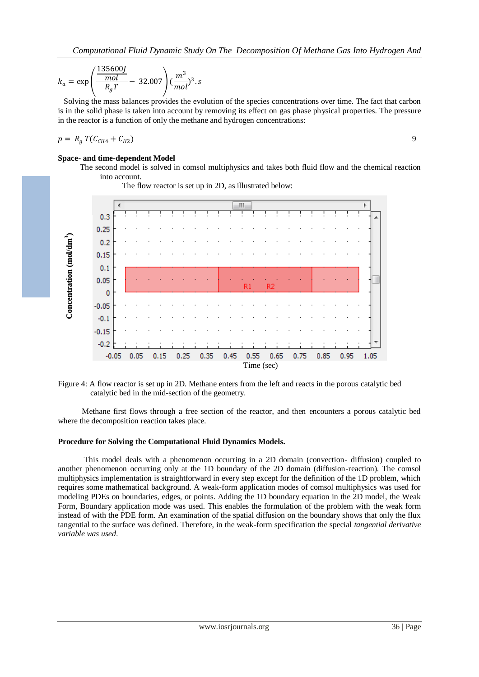$$
k_a = \exp\left(\frac{\frac{135600J}{mol}}{R_g T} - 32.007\right) (\frac{m^3}{mol})^3 \cdot s
$$

 Solving the mass balances provides the evolution of the species concentrations over time. The fact that carbon is in the solid phase is taken into account by removing its effect on gas phase physical properties. The pressure in the reactor is a function of only the methane and hydrogen concentrations:

$$
p = R_g T(C_{CH4} + C_{H2})
$$

## **Space- and time-dependent Model**

 The second model is solved in comsol multiphysics and takes both fluid flow and the chemical reaction into account.

The flow reactor is set up in 2D, as illustrated below:





 Methane first flows through a free section of the reactor, and then encounters a porous catalytic bed where the decomposition reaction takes place.

## **Procedure for Solving the Computational Fluid Dynamics Models.**

 This model deals with a phenomenon occurring in a 2D domain (convection- diffusion) coupled to another phenomenon occurring only at the 1D boundary of the 2D domain (diffusion-reaction). The comsol multiphysics implementation is straightforward in every step except for the definition of the 1D problem, which requires some mathematical background. A weak-form application modes of comsol multiphysics was used for modeling PDEs on boundaries, edges, or points. Adding the 1D boundary equation in the 2D model, the Weak Form, Boundary application mode was used. This enables the formulation of the problem with the weak form instead of with the PDE form. An examination of the spatial diffusion on the boundary shows that only the flux tangential to the surface was defined. Therefore, in the weak-form specification the special *tangential derivative variable was used*.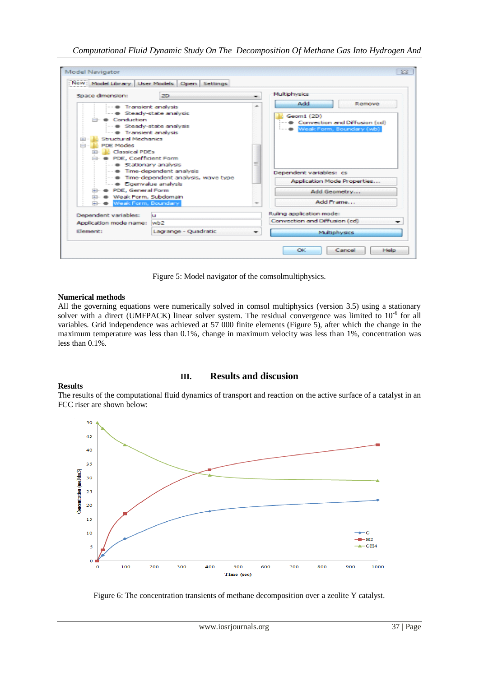| Soace dimension:                                                                                                                                                                                                                                                                                                                                                                                                | 2D.                                         |                                                           | Multiphysics                                                                             |   |
|-----------------------------------------------------------------------------------------------------------------------------------------------------------------------------------------------------------------------------------------------------------------------------------------------------------------------------------------------------------------------------------------------------------------|---------------------------------------------|-----------------------------------------------------------|------------------------------------------------------------------------------------------|---|
| -- @ Transient analysis<br>-- @ Steady-state analysis<br><b>Conduction</b><br>-- @ Steady-state analysis<br>· Transient analysis<br><b>Structural Mechanics</b><br><b>PDE Modes</b><br><b>All Classical PDEs</b><br>$-14 - 3 -$<br>PDE, Coefficient Form<br>- · Stationary analysis<br>-- @ Time-dependent analysis<br>-- @ Time-dependent analysis, wave type<br>-- · Eigenvalue analysis<br>PDE, General Form |                                             | ۰                                                         | Add<br>Remove<br>Geom1 (2D)<br>Convection and Diffusion (cd)<br>Week Form, Boundary (wb) |   |
|                                                                                                                                                                                                                                                                                                                                                                                                                 |                                             |                                                           | Dependent variables: cs<br>Application Mode Properties                                   |   |
|                                                                                                                                                                                                                                                                                                                                                                                                                 |                                             |                                                           | Add Geometry                                                                             |   |
|                                                                                                                                                                                                                                                                                                                                                                                                                 | Weak Form, Subdomain<br>Weak Form, Boundary |                                                           | Add Frame                                                                                |   |
| Dependent variables:<br>ш<br>Application mode name:  wb2<br>Element:<br>Lagrange - Quadratic                                                                                                                                                                                                                                                                                                                    |                                             | Ruling application mode:<br>Convection and Diffusion (cd) |                                                                                          |   |
|                                                                                                                                                                                                                                                                                                                                                                                                                 |                                             |                                                           |                                                                                          | ۰ |

Figure 5: Model navigator of the comsolmultiphysics.

## **Numerical methods**

All the governing equations were numerically solved in comsol multiphysics (version 3.5) using a stationary solver with a direct (UMFPACK) linear solver system. The residual convergence was limited to 10<sup>-6</sup> for all variables. Grid independence was achieved at 57 000 finite elements (Figure 5), after which the change in the maximum temperature was less than 0.1%, change in maximum velocity was less than 1%, concentration was less than 0.1%.

## **Results**

# **III. Results and discusion**

The results of the computational fluid dynamics of transport and reaction on the active surface of a catalyst in an FCC riser are shown below:



Figure 6: The concentration transients of methane decomposition over a zeolite Y catalyst.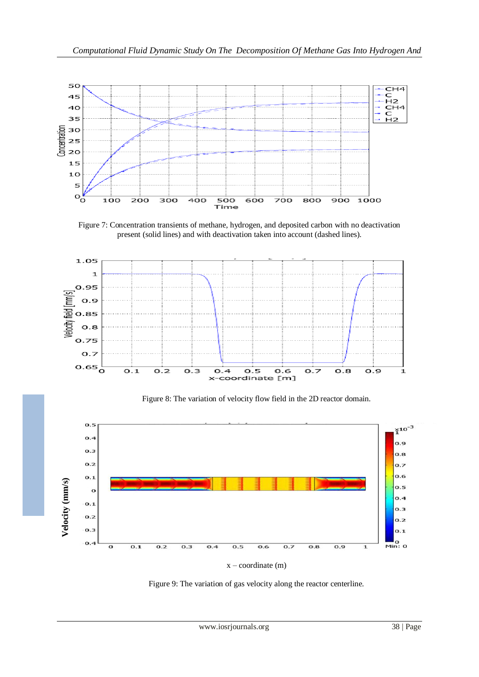

Figure 7: Concentration transients of methane, hydrogen, and deposited carbon with no deactivation present (solid lines) and with deactivation taken into account (dashed lines).



Figure 8: The variation of velocity flow field in the 2D reactor domain.



 $x$  – coordinate  $(m)$ 

Figure 9: The variation of gas velocity along the reactor centerline.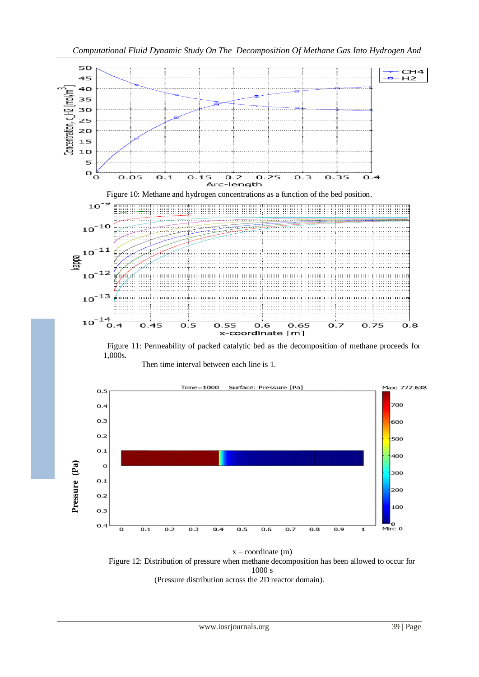

 $x$  – coordinate  $(m)$ Figure 12: Distribution of pressure when methane decomposition has been allowed to occur for 1000 s (Pressure distribution across the 2D reactor domain).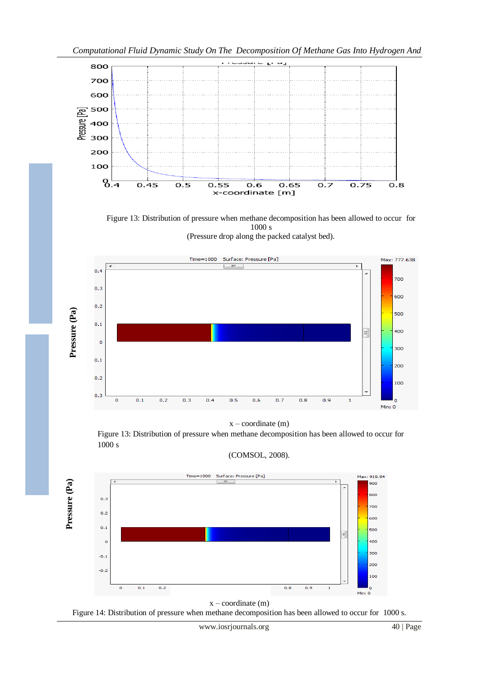

Figure 13: Distribution of pressure when methane decomposition has been allowed to occur for 1000 s

(Pressure drop along the packed catalyst bed).



 $x$  – coordinate  $(m)$ 

Figure 13: Distribution of pressure when methane decomposition has been allowed to occur for 1000 s

(COMSOL, 2008).